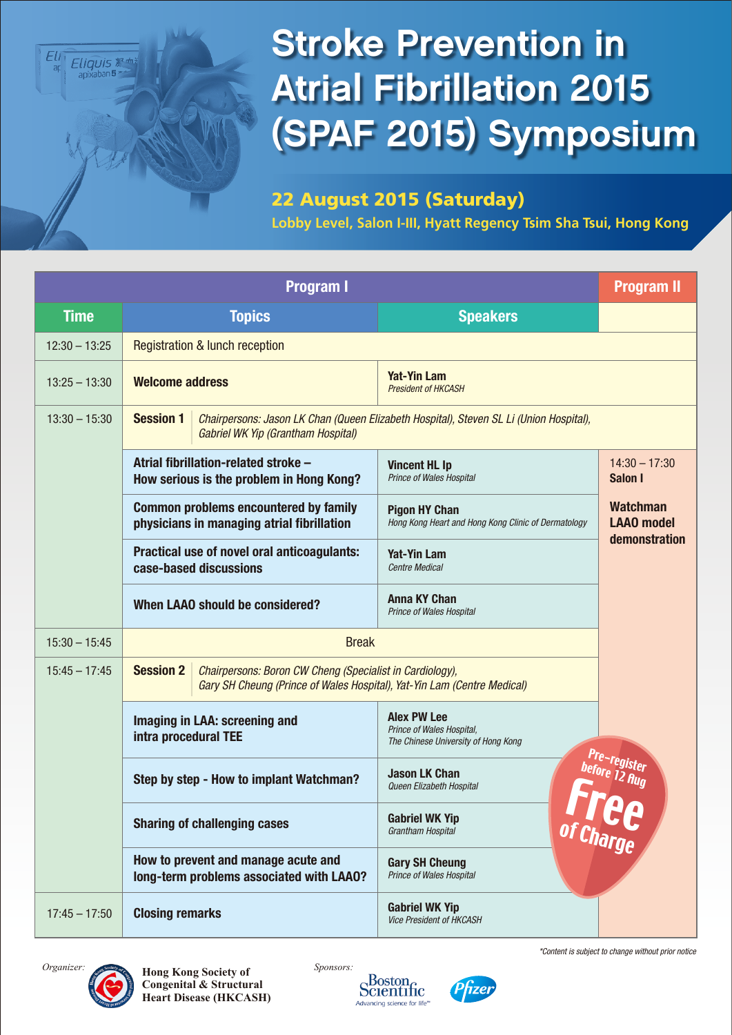

## Stroke Prevention in Atrial Fibrillation 2015 (SPAF 2015) Symposium

#### 22 August 2015 (Saturday)

**Lobby Level, Salon I-III, Hyatt Regency Tsim Sha Tsui, Hong Kong**

|                 | <b>Program I</b>                                                                           |                                    |                                                                                                                                     |                                                       |  |  |  |
|-----------------|--------------------------------------------------------------------------------------------|------------------------------------|-------------------------------------------------------------------------------------------------------------------------------------|-------------------------------------------------------|--|--|--|
| <b>Time</b>     | <b>Topics</b>                                                                              |                                    | <b>Speakers</b>                                                                                                                     |                                                       |  |  |  |
| $12:30 - 13:25$ | <b>Registration &amp; lunch reception</b>                                                  |                                    |                                                                                                                                     |                                                       |  |  |  |
| $13:25 - 13:30$ | <b>Welcome address</b>                                                                     |                                    | <b>Yat-Yin Lam</b><br><b>President of HKCASH</b>                                                                                    |                                                       |  |  |  |
| $13:30 - 15:30$ | <b>Session 1</b>                                                                           | Gabriel WK Yip (Grantham Hospital) | Chairpersons: Jason LK Chan (Queen Elizabeth Hospital), Steven SL Li (Union Hospital),                                              |                                                       |  |  |  |
|                 | Atrial fibrillation-related stroke -<br>How serious is the problem in Hong Kong?           |                                    | <b>Vincent HL Ip</b><br>Prince of Wales Hospital                                                                                    | $14:30 - 17:30$<br>Salon I                            |  |  |  |
|                 | <b>Common problems encountered by family</b><br>physicians in managing atrial fibrillation |                                    | <b>Pigon HY Chan</b><br>Hong Kong Heart and Hong Kong Clinic of Dermatology                                                         | <b>Watchman</b><br><b>LAA0</b> model<br>demonstration |  |  |  |
|                 | Practical use of novel oral anticoagulants:<br>case-based discussions                      |                                    | <b>Yat-Yin Lam</b><br>Centre Medical                                                                                                |                                                       |  |  |  |
|                 |                                                                                            | When LAAO should be considered?    | <b>Anna KY Chan</b><br><b>Prince of Wales Hospital</b>                                                                              |                                                       |  |  |  |
| $15:30 - 15:45$ |                                                                                            | <b>Break</b>                       |                                                                                                                                     |                                                       |  |  |  |
| $15:45 - 17:45$ | <b>Session 2</b>                                                                           |                                    | Chairpersons: Boron CW Cheng (Specialist in Cardiology),<br>Gary SH Cheung (Prince of Wales Hospital), Yat-Yin Lam (Centre Medical) |                                                       |  |  |  |
|                 | Imaging in LAA: screening and<br>intra procedural TEE                                      |                                    | <b>Alex PW Lee</b><br>Prince of Wales Hospital,<br>The Chinese University of Hong Kong                                              |                                                       |  |  |  |
|                 | Step by step - How to implant Watchman?                                                    |                                    | <b>Jason LK Chan</b><br>Queen Elizabeth Hospital                                                                                    | Pre-register<br>before 12 Aug<br>of Charge            |  |  |  |
|                 | <b>Sharing of challenging cases</b>                                                        |                                    | <b>Gabriel WK Yip</b><br>Grantham Hospital                                                                                          |                                                       |  |  |  |
|                 | How to prevent and manage acute and<br>long-term problems associated with LAA0?            |                                    | <b>Gary SH Cheung</b><br>Prince of Wales Hospital                                                                                   |                                                       |  |  |  |
| $17:45 - 17:50$ | <b>Closing remarks</b>                                                                     |                                    | <b>Gabriel WK Yip</b><br>Vice President of HKCASH                                                                                   |                                                       |  |  |  |



**Hong Kong Society of** *Organizer: Sponsors:* **Congenital & Structural Heart Disease (HKCASH)**





*\*Content is subject to change without prior notice*